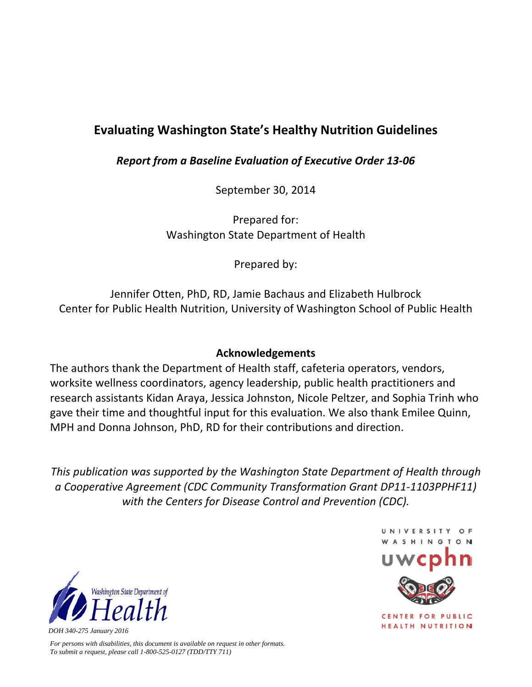## **Evaluating Washington State's Healthy Nutrition Guidelines**

*Report from a Baseline Evaluation of Executive Order 13‐06*

September 30, 2014

Prepared for: Washington State Department of Health

Prepared by:

Jennifer Otten, PhD, RD, Jamie Bachaus and Elizabeth Hulbrock Center for Public Health Nutrition, University of Washington School of Public Health

## **Acknowledgements**

The authors thank the Department of Health staff, cafeteria operators, vendors, worksite wellness coordinators, agency leadership, public health practitioners and research assistants Kidan Araya, Jessica Johnston, Nicole Peltzer, and Sophia Trinh who gave their time and thoughtful input for this evaluation. We also thank Emilee Quinn, MPH and Donna Johnson, PhD, RD for their contributions and direction.

*This publication was supported by the Washington State Department of Health through a Cooperative Agreement (CDC Community Transformation Grant DP11‐1103PPHF11) with the Centers for Disease Control and Prevention (CDC).*



*For persons with disabilities, this document is available on request in other formats. To submit a request, please call 1-800-525-0127 (TDD/TTY 711)* 



UNIVERSITY

CENTER FOR PUBLIC **HEALTH NUTRITION**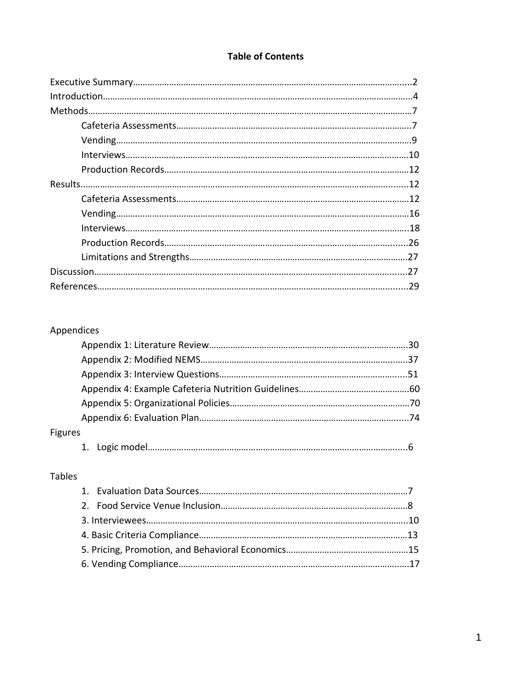#### **Table of Contents**

## Appendices

| <b>Figures</b> |  |
|----------------|--|
|                |  |

## Tables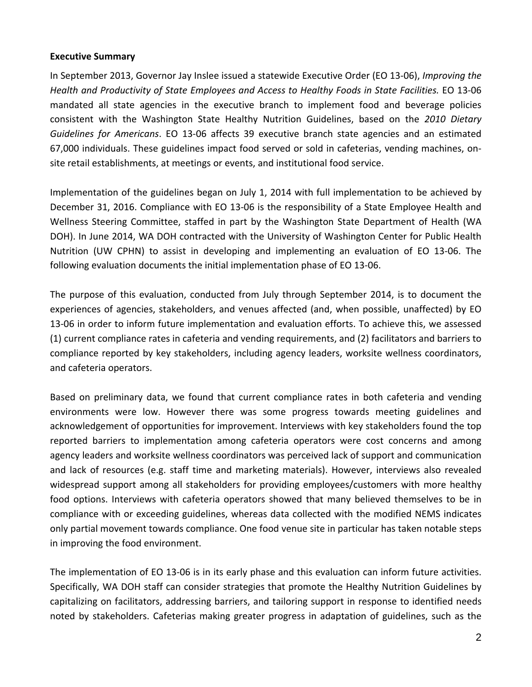#### **Executive Summary**

In September 2013, Governor Jay Inslee issued a statewide Executive Order (EO 13‐06), *Improving the Health and Productivity of State Employees and Access to Healthy Foods in State Facilities.* EO 13‐06 mandated all state agencies in the executive branch to implement food and beverage policies consistent with the Washington State Healthy Nutrition Guidelines, based on the *2010 Dietary Guidelines for Americans*. EO 13‐06 affects 39 executive branch state agencies and an estimated 67,000 individuals. These guidelines impact food served or sold in cafeterias, vending machines, on‐ site retail establishments, at meetings or events, and institutional food service.

Implementation of the guidelines began on July 1, 2014 with full implementation to be achieved by December 31, 2016. Compliance with EO 13‐06 is the responsibility of a State Employee Health and Wellness Steering Committee, staffed in part by the Washington State Department of Health (WA DOH). In June 2014, WA DOH contracted with the University of Washington Center for Public Health Nutrition (UW CPHN) to assist in developing and implementing an evaluation of EO 13‐06. The following evaluation documents the initial implementation phase of EO 13‐06.

The purpose of this evaluation, conducted from July through September 2014, is to document the experiences of agencies, stakeholders, and venues affected (and, when possible, unaffected) by EO 13‐06 in order to inform future implementation and evaluation efforts. To achieve this, we assessed (1) current compliance rates in cafeteria and vending requirements, and (2) facilitators and barriers to compliance reported by key stakeholders, including agency leaders, worksite wellness coordinators, and cafeteria operators.

Based on preliminary data, we found that current compliance rates in both cafeteria and vending environments were low. However there was some progress towards meeting guidelines and acknowledgement of opportunities for improvement. Interviews with key stakeholders found the top reported barriers to implementation among cafeteria operators were cost concerns and among agency leaders and worksite wellness coordinators was perceived lack of support and communication and lack of resources (e.g. staff time and marketing materials). However, interviews also revealed widespread support among all stakeholders for providing employees/customers with more healthy food options. Interviews with cafeteria operators showed that many believed themselves to be in compliance with or exceeding guidelines, whereas data collected with the modified NEMS indicates only partial movement towards compliance. One food venue site in particular has taken notable steps in improving the food environment.

The implementation of EO 13‐06 is in its early phase and this evaluation can inform future activities. Specifically, WA DOH staff can consider strategies that promote the Healthy Nutrition Guidelines by capitalizing on facilitators, addressing barriers, and tailoring support in response to identified needs noted by stakeholders. Cafeterias making greater progress in adaptation of guidelines, such as the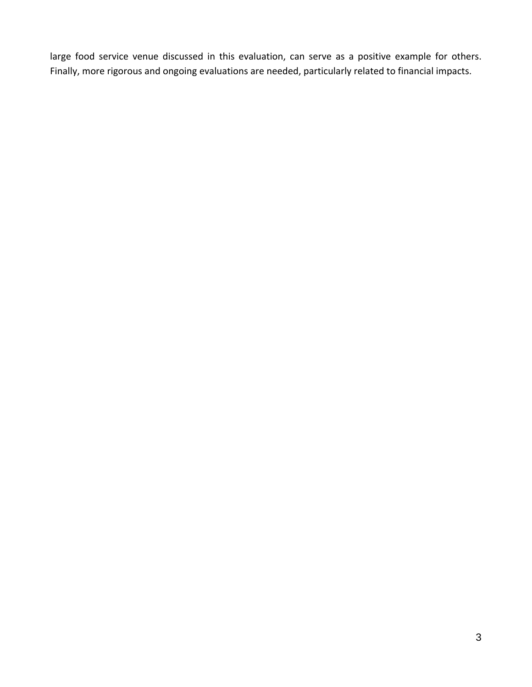large food service venue discussed in this evaluation, can serve as a positive example for others. Finally, more rigorous and ongoing evaluations are needed, particularly related to financial impacts.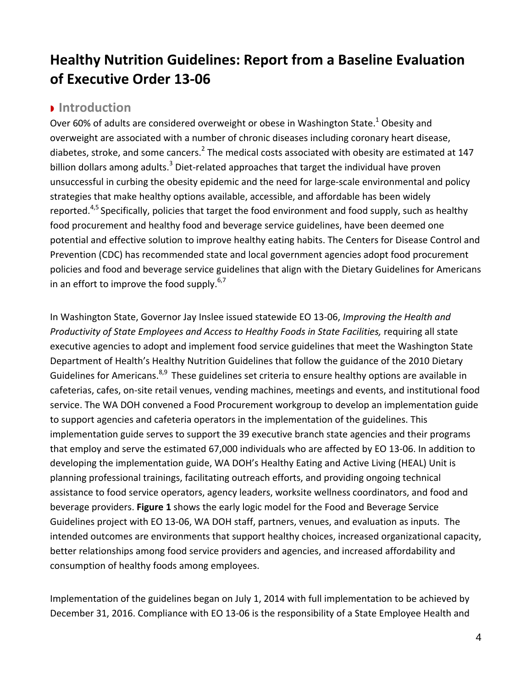# **Healthy Nutrition Guidelines: Report from a Baseline Evaluation of Executive Order 13‐06**

## **Introduction**

Over 60% of adults are considered overweight or obese in Washington State.<sup>1</sup> Obesity and overweight are associated with a number of chronic diseases including coronary heart disease, diabetes, stroke, and some cancers.<sup>2</sup> The medical costs associated with obesity are estimated at 147 billion dollars among adults.<sup>3</sup> Diet-related approaches that target the individual have proven unsuccessful in curbing the obesity epidemic and the need for large‐scale environmental and policy strategies that make healthy options available, accessible, and affordable has been widely reported.<sup>4,5</sup> Specifically, policies that target the food environment and food supply, such as healthy food procurement and healthy food and beverage service guidelines, have been deemed one potential and effective solution to improve healthy eating habits. The Centers for Disease Control and Prevention (CDC) has recommended state and local government agencies adopt food procurement policies and food and beverage service guidelines that align with the Dietary Guidelines for Americans in an effort to improve the food supply. $6,7$ 

In Washington State, Governor Jay Inslee issued statewide EO 13‐06, *Improving the Health and Productivity of State Employees and Access to Healthy Foods in State Facilities,* requiring all state executive agencies to adopt and implement food service guidelines that meet the Washington State Department of Health's Healthy Nutrition Guidelines that follow the guidance of the 2010 Dietary Guidelines for Americans.<sup>8,9</sup> These guidelines set criteria to ensure healthy options are available in cafeterias, cafes, on‐site retail venues, vending machines, meetings and events, and institutional food service. The WA DOH convened a Food Procurement workgroup to develop an implementation guide to support agencies and cafeteria operators in the implementation of the guidelines. This implementation guide serves to support the 39 executive branch state agencies and their programs that employ and serve the estimated 67,000 individuals who are affected by EO 13‐06. In addition to developing the implementation guide, WA DOH's Healthy Eating and Active Living (HEAL) Unit is planning professional trainings, facilitating outreach efforts, and providing ongoing technical assistance to food service operators, agency leaders, worksite wellness coordinators, and food and beverage providers. **Figure 1** shows the early logic model for the Food and Beverage Service Guidelines project with EO 13‐06, WA DOH staff, partners, venues, and evaluation as inputs. The intended outcomes are environments that support healthy choices, increased organizational capacity, better relationships among food service providers and agencies, and increased affordability and consumption of healthy foods among employees.

Implementation of the guidelines began on July 1, 2014 with full implementation to be achieved by December 31, 2016. Compliance with EO 13‐06 is the responsibility of a State Employee Health and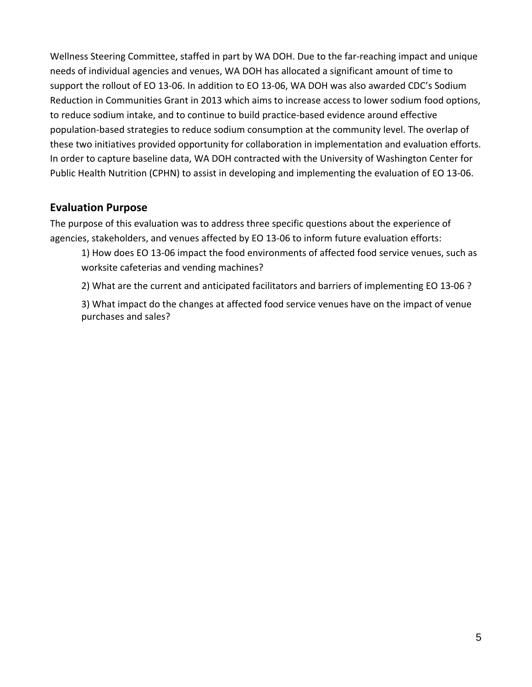Wellness Steering Committee, staffed in part by WA DOH. Due to the far‐reaching impact and unique needs of individual agencies and venues, WA DOH has allocated a significant amount of time to support the rollout of EO 13-06. In addition to EO 13-06, WA DOH was also awarded CDC's Sodium Reduction in Communities Grant in 2013 which aims to increase access to lower sodium food options, to reduce sodium intake, and to continue to build practice‐based evidence around effective population‐based strategies to reduce sodium consumption at the community level. The overlap of these two initiatives provided opportunity for collaboration in implementation and evaluation efforts. In order to capture baseline data, WA DOH contracted with the University of Washington Center for Public Health Nutrition (CPHN) to assist in developing and implementing the evaluation of EO 13‐06.

## **Evaluation Purpose**

The purpose of this evaluation was to address three specific questions about the experience of agencies, stakeholders, and venues affected by EO 13‐06 to inform future evaluation efforts:

1) How does EO 13‐06 impact the food environments of affected food service venues, such as worksite cafeterias and vending machines?

2) What are the current and anticipated facilitators and barriers of implementing EO 13‐06 ?

3) What impact do the changes at affected food service venues have on the impact of venue purchases and sales?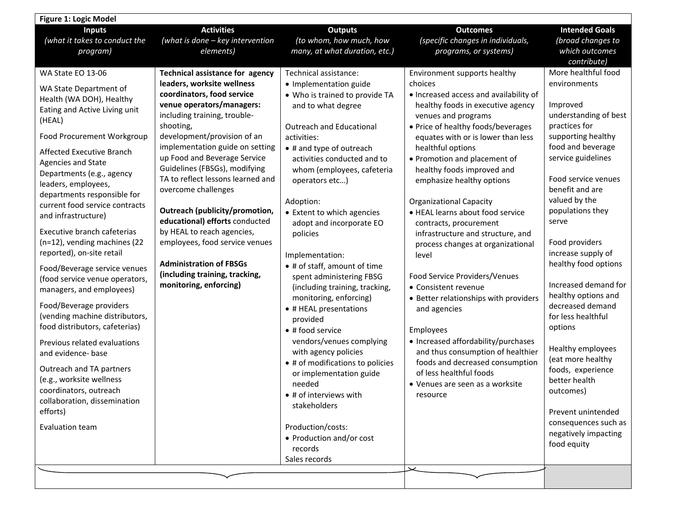| <b>Figure 1: Logic Model</b>                                                                                                                                                                                                                                                                                                                                                                                                                                                                                                                                                                                                                                                                                                                                                                                                                           |                                                                                                                                                                                                                                                                                                                                                                                                                                                                                                                                                                                                        |                                                                                                                                                                                                                                                                                                                                                                                                                                                                                                                                                                                                                                                                                                                                                                                                                  |                                                                                                                                                                                                                                                                                                                                                                                                                                                                                                                                                                                                                                                                                                                                                                                                                                                      |                                                                                                                                                                                                                                                                                                                                                                                                                                                                                                                                                                                                          |
|--------------------------------------------------------------------------------------------------------------------------------------------------------------------------------------------------------------------------------------------------------------------------------------------------------------------------------------------------------------------------------------------------------------------------------------------------------------------------------------------------------------------------------------------------------------------------------------------------------------------------------------------------------------------------------------------------------------------------------------------------------------------------------------------------------------------------------------------------------|--------------------------------------------------------------------------------------------------------------------------------------------------------------------------------------------------------------------------------------------------------------------------------------------------------------------------------------------------------------------------------------------------------------------------------------------------------------------------------------------------------------------------------------------------------------------------------------------------------|------------------------------------------------------------------------------------------------------------------------------------------------------------------------------------------------------------------------------------------------------------------------------------------------------------------------------------------------------------------------------------------------------------------------------------------------------------------------------------------------------------------------------------------------------------------------------------------------------------------------------------------------------------------------------------------------------------------------------------------------------------------------------------------------------------------|------------------------------------------------------------------------------------------------------------------------------------------------------------------------------------------------------------------------------------------------------------------------------------------------------------------------------------------------------------------------------------------------------------------------------------------------------------------------------------------------------------------------------------------------------------------------------------------------------------------------------------------------------------------------------------------------------------------------------------------------------------------------------------------------------------------------------------------------------|----------------------------------------------------------------------------------------------------------------------------------------------------------------------------------------------------------------------------------------------------------------------------------------------------------------------------------------------------------------------------------------------------------------------------------------------------------------------------------------------------------------------------------------------------------------------------------------------------------|
| <b>Inputs</b><br>(what it takes to conduct the<br>program)                                                                                                                                                                                                                                                                                                                                                                                                                                                                                                                                                                                                                                                                                                                                                                                             | <b>Activities</b><br>(what is done - key intervention<br>elements)                                                                                                                                                                                                                                                                                                                                                                                                                                                                                                                                     | <b>Outputs</b><br>(to whom, how much, how<br>many, at what duration, etc.)                                                                                                                                                                                                                                                                                                                                                                                                                                                                                                                                                                                                                                                                                                                                       | <b>Outcomes</b><br>(specific changes in individuals,<br>programs, or systems)                                                                                                                                                                                                                                                                                                                                                                                                                                                                                                                                                                                                                                                                                                                                                                        | <b>Intended Goals</b><br>(broad changes to<br>which outcomes<br>contribute)                                                                                                                                                                                                                                                                                                                                                                                                                                                                                                                              |
| WA State EO 13-06<br>WA State Department of<br>Health (WA DOH), Healthy<br>Eating and Active Living unit<br>(HEAL)<br>Food Procurement Workgroup<br>Affected Executive Branch<br>Agencies and State<br>Departments (e.g., agency<br>leaders, employees,<br>departments responsible for<br>current food service contracts<br>and infrastructure)<br>Executive branch cafeterias<br>(n=12), vending machines (22<br>reported), on-site retail<br>Food/Beverage service venues<br>(food service venue operators,<br>managers, and employees)<br>Food/Beverage providers<br>(vending machine distributors,<br>food distributors, cafeterias)<br>Previous related evaluations<br>and evidence- base<br>Outreach and TA partners<br>(e.g., worksite wellness<br>coordinators, outreach<br>collaboration, dissemination<br>efforts)<br><b>Evaluation team</b> | Technical assistance for agency<br>leaders, worksite wellness<br>coordinators, food service<br>venue operators/managers:<br>including training, trouble-<br>shooting,<br>development/provision of an<br>implementation guide on setting<br>up Food and Beverage Service<br>Guidelines (FBSGs), modifying<br>TA to reflect lessons learned and<br>overcome challenges<br>Outreach (publicity/promotion,<br>educational) efforts conducted<br>by HEAL to reach agencies,<br>employees, food service venues<br><b>Administration of FBSGs</b><br>(including training, tracking,<br>monitoring, enforcing) | Technical assistance:<br>• Implementation guide<br>• Who is trained to provide TA<br>and to what degree<br><b>Outreach and Educational</b><br>activities:<br>• # and type of outreach<br>activities conducted and to<br>whom (employees, cafeteria<br>operators etc)<br>Adoption:<br>• Extent to which agencies<br>adopt and incorporate EO<br>policies<br>Implementation:<br>• # of staff, amount of time<br>spent administering FBSG<br>(including training, tracking,<br>monitoring, enforcing)<br>• # HEAL presentations<br>provided<br>• # food service<br>vendors/venues complying<br>with agency policies<br>• # of modifications to policies<br>or implementation guide<br>needed<br>• # of interviews with<br>stakeholders<br>Production/costs:<br>• Production and/or cost<br>records<br>Sales records | Environment supports healthy<br>choices<br>. Increased access and availability of<br>healthy foods in executive agency<br>venues and programs<br>• Price of healthy foods/beverages<br>equates with or is lower than less<br>healthful options<br>• Promotion and placement of<br>healthy foods improved and<br>emphasize healthy options<br><b>Organizational Capacity</b><br>• HEAL learns about food service<br>contracts, procurement<br>infrastructure and structure, and<br>process changes at organizational<br>level<br>Food Service Providers/Venues<br>• Consistent revenue<br>• Better relationships with providers<br>and agencies<br>Employees<br>• Increased affordability/purchases<br>and thus consumption of healthier<br>foods and decreased consumption<br>of less healthful foods<br>• Venues are seen as a worksite<br>resource | More healthful food<br>environments<br>Improved<br>understanding of best<br>practices for<br>supporting healthy<br>food and beverage<br>service guidelines<br>Food service venues<br>benefit and are<br>valued by the<br>populations they<br>serve<br>Food providers<br>increase supply of<br>healthy food options<br>Increased demand for<br>healthy options and<br>decreased demand<br>for less healthful<br>options<br>Healthy employees<br>(eat more healthy<br>foods, experience<br>better health<br>outcomes)<br>Prevent unintended<br>consequences such as<br>negatively impacting<br>food equity |
|                                                                                                                                                                                                                                                                                                                                                                                                                                                                                                                                                                                                                                                                                                                                                                                                                                                        |                                                                                                                                                                                                                                                                                                                                                                                                                                                                                                                                                                                                        |                                                                                                                                                                                                                                                                                                                                                                                                                                                                                                                                                                                                                                                                                                                                                                                                                  |                                                                                                                                                                                                                                                                                                                                                                                                                                                                                                                                                                                                                                                                                                                                                                                                                                                      |                                                                                                                                                                                                                                                                                                                                                                                                                                                                                                                                                                                                          |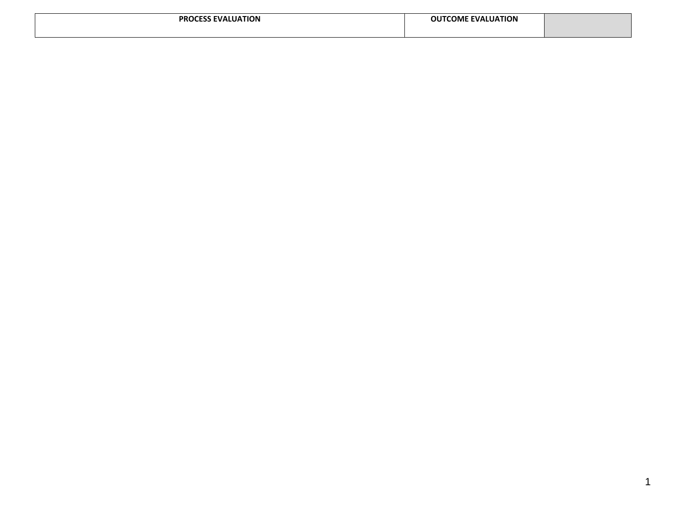| <b>UATION</b><br><b>PR</b><br><b>EVAL</b> | <b>OUTCOME</b><br><b>EVALUATION</b> |  |
|-------------------------------------------|-------------------------------------|--|
|                                           |                                     |  |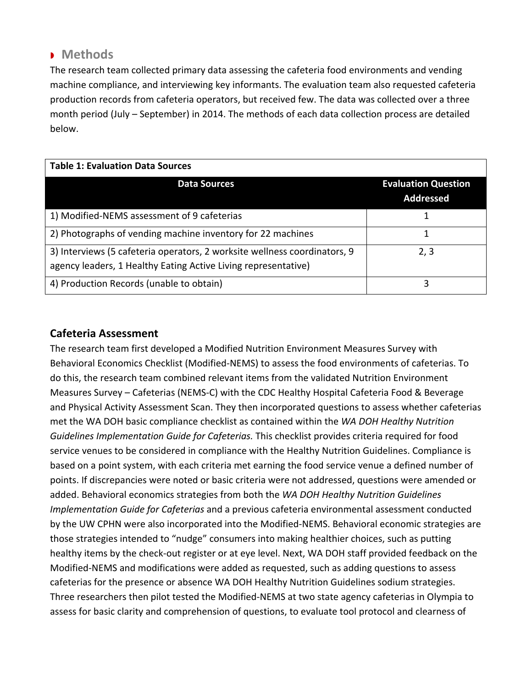## **Methods**

The research team collected primary data assessing the cafeteria food environments and vending machine compliance, and interviewing key informants. The evaluation team also requested cafeteria production records from cafeteria operators, but received few. The data was collected over a three month period (July – September) in 2014. The methods of each data collection process are detailed below.

| <b>Table 1: Evaluation Data Sources</b>                                                                                                     |                                                |  |  |
|---------------------------------------------------------------------------------------------------------------------------------------------|------------------------------------------------|--|--|
| <b>Data Sources</b>                                                                                                                         | <b>Evaluation Question</b><br><b>Addressed</b> |  |  |
| 1) Modified-NEMS assessment of 9 cafeterias                                                                                                 |                                                |  |  |
| 2) Photographs of vending machine inventory for 22 machines                                                                                 |                                                |  |  |
| 3) Interviews (5 cafeteria operators, 2 worksite wellness coordinators, 9<br>agency leaders, 1 Healthy Eating Active Living representative) | 2, 3                                           |  |  |
| 4) Production Records (unable to obtain)                                                                                                    | 3                                              |  |  |

## **Cafeteria Assessment**

The research team first developed a Modified Nutrition Environment Measures Survey with Behavioral Economics Checklist (Modified‐NEMS) to assess the food environments of cafeterias. To do this, the research team combined relevant items from the validated Nutrition Environment Measures Survey – Cafeterias (NEMS‐C) with the CDC Healthy Hospital Cafeteria Food & Beverage and Physical Activity Assessment Scan. They then incorporated questions to assess whether cafeterias met the WA DOH basic compliance checklist as contained within the *WA DOH Healthy Nutrition Guidelines Implementation Guide for Cafeterias.* This checklist provides criteria required for food service venues to be considered in compliance with the Healthy Nutrition Guidelines. Compliance is based on a point system, with each criteria met earning the food service venue a defined number of points. If discrepancies were noted or basic criteria were not addressed, questions were amended or added. Behavioral economics strategies from both the *WA DOH Healthy Nutrition Guidelines Implementation Guide for Cafeterias* and a previous cafeteria environmental assessment conducted by the UW CPHN were also incorporated into the Modified‐NEMS. Behavioral economic strategies are those strategies intended to "nudge" consumers into making healthier choices, such as putting healthy items by the check-out register or at eye level. Next, WA DOH staff provided feedback on the Modified‐NEMS and modifications were added as requested, such as adding questions to assess cafeterias for the presence or absence WA DOH Healthy Nutrition Guidelines sodium strategies. Three researchers then pilot tested the Modified‐NEMS at two state agency cafeterias in Olympia to assess for basic clarity and comprehension of questions, to evaluate tool protocol and clearness of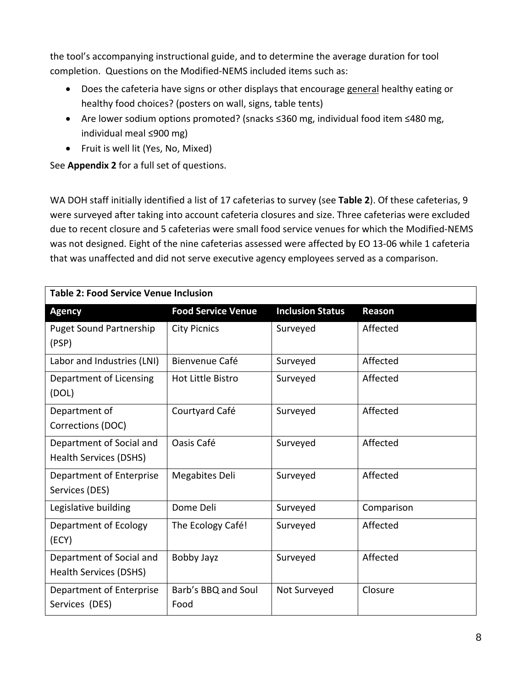the tool's accompanying instructional guide, and to determine the average duration for tool completion. Questions on the Modified‐NEMS included items such as:

- Does the cafeteria have signs or other displays that encourage general healthy eating or healthy food choices? (posters on wall, signs, table tents)
- Are lower sodium options promoted? (snacks ≤360 mg, individual food item ≤480 mg, individual meal ≤900 mg)
- Fruit is well lit (Yes, No, Mixed)

See **Appendix 2** for a full set of questions.

WA DOH staff initially identified a list of 17 cafeterias to survey (see **Table 2**). Of these cafeterias, 9 were surveyed after taking into account cafeteria closures and size. Three cafeterias were excluded due to recent closure and 5 cafeterias were small food service venues for which the Modified‐NEMS was not designed. Eight of the nine cafeterias assessed were affected by EO 13‐06 while 1 cafeteria that was unaffected and did not serve executive agency employees served as a comparison.

| <b>Table 2: Food Service Venue Inclusion</b>       |                             |                         |            |  |
|----------------------------------------------------|-----------------------------|-------------------------|------------|--|
| <b>Agency</b>                                      | <b>Food Service Venue</b>   | <b>Inclusion Status</b> | Reason     |  |
| <b>Puget Sound Partnership</b><br>(PSP)            | <b>City Picnics</b>         | Surveyed                | Affected   |  |
| Labor and Industries (LNI)                         | Bienvenue Café              | Surveyed                | Affected   |  |
| Department of Licensing<br>(DOL)                   | Hot Little Bistro           | Surveyed                | Affected   |  |
| Department of<br>Corrections (DOC)                 | Courtyard Café              | Surveyed                | Affected   |  |
| Department of Social and<br>Health Services (DSHS) | Oasis Café                  | Surveyed                | Affected   |  |
| Department of Enterprise<br>Services (DES)         | Megabites Deli              | Surveyed                | Affected   |  |
| Legislative building                               | Dome Deli                   | Surveyed                | Comparison |  |
| Department of Ecology<br>(ECY)                     | The Ecology Café!           | Surveyed                | Affected   |  |
| Department of Social and<br>Health Services (DSHS) | Bobby Jayz                  | Surveyed                | Affected   |  |
| Department of Enterprise<br>Services (DES)         | Barb's BBQ and Soul<br>Food | Not Surveyed            | Closure    |  |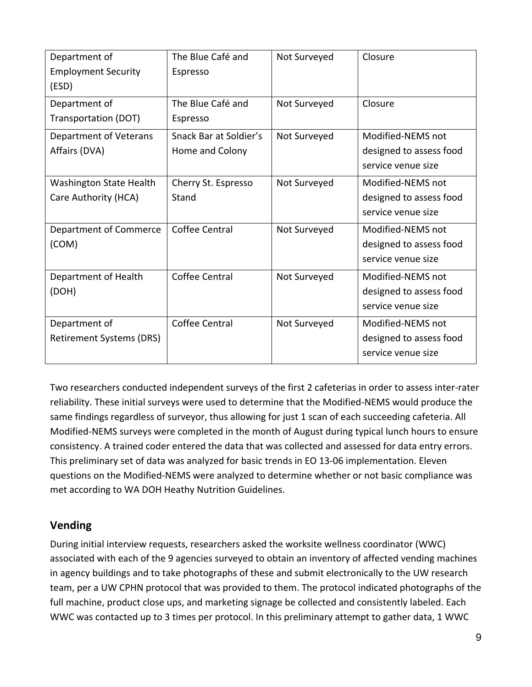| Department of                   | The Blue Café and      | Not Surveyed | Closure                 |
|---------------------------------|------------------------|--------------|-------------------------|
| <b>Employment Security</b>      | Espresso               |              |                         |
| (ESD)                           |                        |              |                         |
| Department of                   | The Blue Café and      | Not Surveyed | Closure                 |
| Transportation (DOT)            | Espresso               |              |                         |
| Department of Veterans          | Snack Bar at Soldier's | Not Surveyed | Modified-NEMS not       |
| Affairs (DVA)                   | Home and Colony        |              | designed to assess food |
|                                 |                        |              | service venue size      |
| <b>Washington State Health</b>  | Cherry St. Espresso    | Not Surveyed | Modified-NEMS not       |
| Care Authority (HCA)            | Stand                  |              | designed to assess food |
|                                 |                        |              | service venue size      |
| Department of Commerce          | Coffee Central         | Not Surveyed | Modified-NEMS not       |
| (COM)                           |                        |              | designed to assess food |
|                                 |                        |              | service venue size      |
| Department of Health            | Coffee Central         | Not Surveyed | Modified-NEMS not       |
| (DOH)                           |                        |              | designed to assess food |
|                                 |                        |              | service venue size      |
| Department of                   | Coffee Central         | Not Surveyed | Modified-NEMS not       |
| <b>Retirement Systems (DRS)</b> |                        |              | designed to assess food |
|                                 |                        |              | service venue size      |

Two researchers conducted independent surveys of the first 2 cafeterias in order to assess inter‐rater reliability. These initial surveys were used to determine that the Modified‐NEMS would produce the same findings regardless of surveyor, thus allowing for just 1 scan of each succeeding cafeteria. All Modified‐NEMS surveys were completed in the month of August during typical lunch hours to ensure consistency. A trained coder entered the data that was collected and assessed for data entry errors. This preliminary set of data was analyzed for basic trends in EO 13‐06 implementation. Eleven questions on the Modified‐NEMS were analyzed to determine whether or not basic compliance was met according to WA DOH Heathy Nutrition Guidelines.

## **Vending**

During initial interview requests, researchers asked the worksite wellness coordinator (WWC) associated with each of the 9 agencies surveyed to obtain an inventory of affected vending machines in agency buildings and to take photographs of these and submit electronically to the UW research team, per a UW CPHN protocol that was provided to them. The protocol indicated photographs of the full machine, product close ups, and marketing signage be collected and consistently labeled. Each WWC was contacted up to 3 times per protocol. In this preliminary attempt to gather data, 1 WWC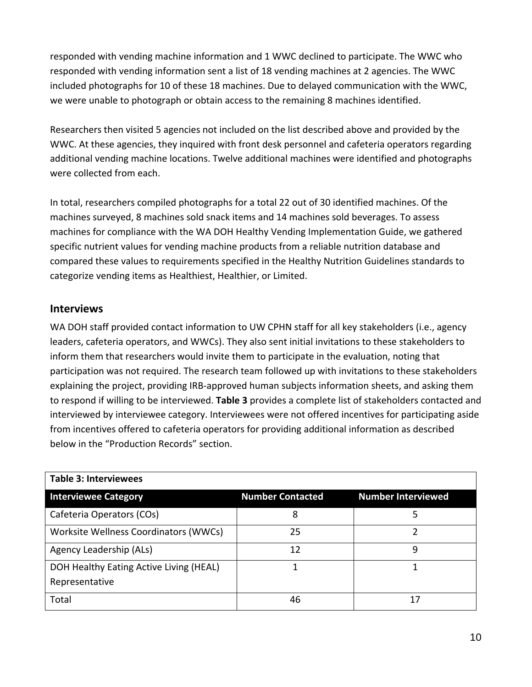responded with vending machine information and 1 WWC declined to participate. The WWC who responded with vending information sent a list of 18 vending machines at 2 agencies. The WWC included photographs for 10 of these 18 machines. Due to delayed communication with the WWC, we were unable to photograph or obtain access to the remaining 8 machines identified.

Researchers then visited 5 agencies not included on the list described above and provided by the WWC. At these agencies, they inquired with front desk personnel and cafeteria operators regarding additional vending machine locations. Twelve additional machines were identified and photographs were collected from each.

In total, researchers compiled photographs for a total 22 out of 30 identified machines. Of the machines surveyed, 8 machines sold snack items and 14 machines sold beverages. To assess machines for compliance with the WA DOH Healthy Vending Implementation Guide, we gathered specific nutrient values for vending machine products from a reliable nutrition database and compared these values to requirements specified in the Healthy Nutrition Guidelines standards to categorize vending items as Healthiest, Healthier, or Limited.

## **Interviews**

WA DOH staff provided contact information to UW CPHN staff for all key stakeholders (i.e., agency leaders, cafeteria operators, and WWCs). They also sent initial invitations to these stakeholders to inform them that researchers would invite them to participate in the evaluation, noting that participation was not required. The research team followed up with invitations to these stakeholders explaining the project, providing IRB‐approved human subjects information sheets, and asking them to respond if willing to be interviewed. **Table 3** provides a complete list of stakeholders contacted and interviewed by interviewee category. Interviewees were not offered incentives for participating aside from incentives offered to cafeteria operators for providing additional information as described below in the "Production Records" section.

| <b>Table 3: Interviewees</b>                              |                         |                           |
|-----------------------------------------------------------|-------------------------|---------------------------|
| <b>Interviewee Category</b>                               | <b>Number Contacted</b> | <b>Number Interviewed</b> |
| Cafeteria Operators (COs)                                 | 8                       |                           |
| Worksite Wellness Coordinators (WWCs)                     | 25                      |                           |
| Agency Leadership (ALs)                                   | 12                      | 9                         |
| DOH Healthy Eating Active Living (HEAL)<br>Representative |                         |                           |
| Total                                                     | 46                      | 17                        |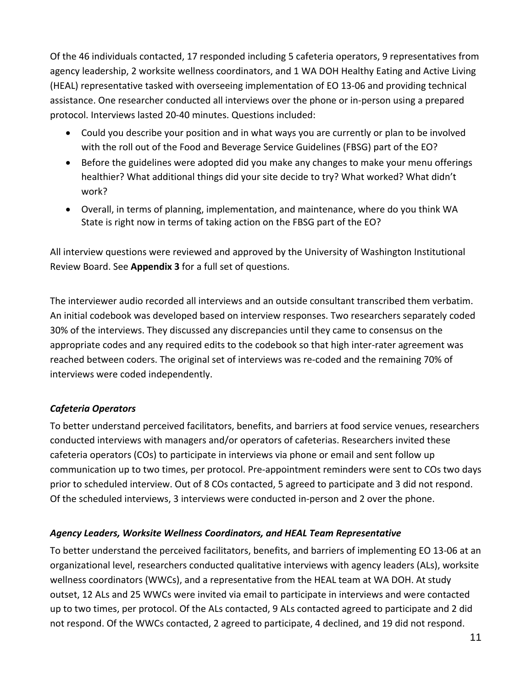Of the 46 individuals contacted, 17 responded including 5 cafeteria operators, 9 representatives from agency leadership, 2 worksite wellness coordinators, and 1 WA DOH Healthy Eating and Active Living (HEAL) representative tasked with overseeing implementation of EO 13‐06 and providing technical assistance. One researcher conducted all interviews over the phone or in‐person using a prepared protocol. Interviews lasted 20‐40 minutes. Questions included:

- Could you describe your position and in what ways you are currently or plan to be involved with the roll out of the Food and Beverage Service Guidelines (FBSG) part of the EO?
- Before the guidelines were adopted did you make any changes to make your menu offerings healthier? What additional things did your site decide to try? What worked? What didn't work?
- Overall, in terms of planning, implementation, and maintenance, where do you think WA State is right now in terms of taking action on the FBSG part of the EO?

All interview questions were reviewed and approved by the University of Washington Institutional Review Board. See **Appendix 3** for a full set of questions.

The interviewer audio recorded all interviews and an outside consultant transcribed them verbatim. An initial codebook was developed based on interview responses. Two researchers separately coded 30% of the interviews. They discussed any discrepancies until they came to consensus on the appropriate codes and any required edits to the codebook so that high inter‐rater agreement was reached between coders. The original set of interviews was re‐coded and the remaining 70% of interviews were coded independently.

## *Cafeteria Operators*

To better understand perceived facilitators, benefits, and barriers at food service venues, researchers conducted interviews with managers and/or operators of cafeterias. Researchers invited these cafeteria operators (COs) to participate in interviews via phone or email and sent follow up communication up to two times, per protocol. Pre‐appointment reminders were sent to COs two days prior to scheduled interview. Out of 8 COs contacted, 5 agreed to participate and 3 did not respond. Of the scheduled interviews, 3 interviews were conducted in‐person and 2 over the phone.

#### *Agency Leaders, Worksite Wellness Coordinators, and HEAL Team Representative*

To better understand the perceived facilitators, benefits, and barriers of implementing EO 13‐06 at an organizational level, researchers conducted qualitative interviews with agency leaders (ALs), worksite wellness coordinators (WWCs), and a representative from the HEAL team at WA DOH. At study outset, 12 ALs and 25 WWCs were invited via email to participate in interviews and were contacted up to two times, per protocol. Of the ALs contacted, 9 ALs contacted agreed to participate and 2 did not respond. Of the WWCs contacted, 2 agreed to participate, 4 declined, and 19 did not respond.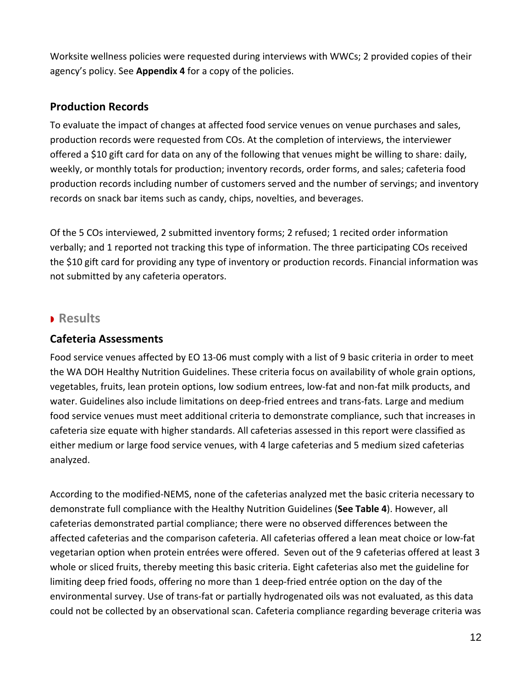Worksite wellness policies were requested during interviews with WWCs; 2 provided copies of their agency's policy. See **Appendix 4** for a copy of the policies.

## **Production Records**

To evaluate the impact of changes at affected food service venues on venue purchases and sales, production records were requested from COs. At the completion of interviews, the interviewer offered a \$10 gift card for data on any of the following that venues might be willing to share: daily, weekly, or monthly totals for production; inventory records, order forms, and sales; cafeteria food production records including number of customers served and the number of servings; and inventory records on snack bar items such as candy, chips, novelties, and beverages.

Of the 5 COs interviewed, 2 submitted inventory forms; 2 refused; 1 recited order information verbally; and 1 reported not tracking this type of information. The three participating COs received the \$10 gift card for providing any type of inventory or production records. Financial information was not submitted by any cafeteria operators.

## **Results**

## **Cafeteria Assessments**

Food service venues affected by EO 13‐06 must comply with a list of 9 basic criteria in order to meet the WA DOH Healthy Nutrition Guidelines. These criteria focus on availability of whole grain options, vegetables, fruits, lean protein options, low sodium entrees, low‐fat and non‐fat milk products, and water. Guidelines also include limitations on deep-fried entrees and trans-fats. Large and medium food service venues must meet additional criteria to demonstrate compliance, such that increases in cafeteria size equate with higher standards. All cafeterias assessed in this report were classified as either medium or large food service venues, with 4 large cafeterias and 5 medium sized cafeterias analyzed.

According to the modified‐NEMS, none of the cafeterias analyzed met the basic criteria necessary to demonstrate full compliance with the Healthy Nutrition Guidelines (**See Table 4**). However, all cafeterias demonstrated partial compliance; there were no observed differences between the affected cafeterias and the comparison cafeteria. All cafeterias offered a lean meat choice or low‐fat vegetarian option when protein entrées were offered. Seven out of the 9 cafeterias offered at least 3 whole or sliced fruits, thereby meeting this basic criteria. Eight cafeterias also met the guideline for limiting deep fried foods, offering no more than 1 deep‐fried entrée option on the day of the environmental survey. Use of trans‐fat or partially hydrogenated oils was not evaluated, as this data could not be collected by an observational scan. Cafeteria compliance regarding beverage criteria was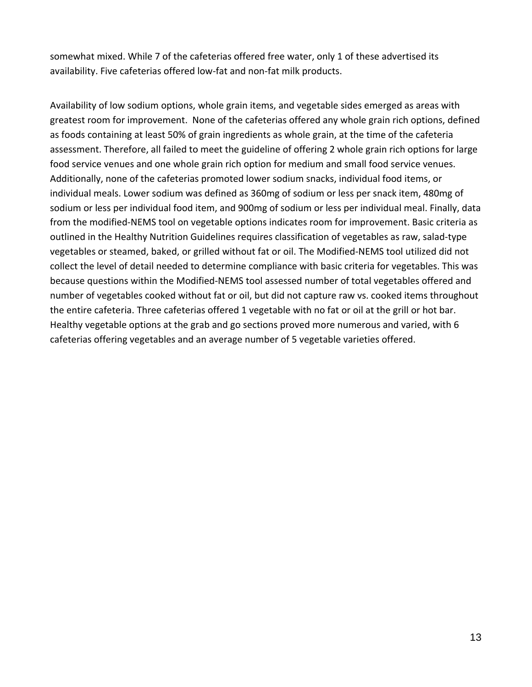somewhat mixed. While 7 of the cafeterias offered free water, only 1 of these advertised its availability. Five cafeterias offered low-fat and non-fat milk products.

Availability of low sodium options, whole grain items, and vegetable sides emerged as areas with greatest room for improvement. None of the cafeterias offered any whole grain rich options, defined as foods containing at least 50% of grain ingredients as whole grain, at the time of the cafeteria assessment. Therefore, all failed to meet the guideline of offering 2 whole grain rich options for large food service venues and one whole grain rich option for medium and small food service venues. Additionally, none of the cafeterias promoted lower sodium snacks, individual food items, or individual meals. Lower sodium was defined as 360mg of sodium or less per snack item, 480mg of sodium or less per individual food item, and 900mg of sodium or less per individual meal. Finally, data from the modified‐NEMS tool on vegetable options indicates room for improvement. Basic criteria as outlined in the Healthy Nutrition Guidelines requires classification of vegetables as raw, salad‐type vegetables or steamed, baked, or grilled without fat or oil. The Modified‐NEMS tool utilized did not collect the level of detail needed to determine compliance with basic criteria for vegetables. This was because questions within the Modified‐NEMS tool assessed number of total vegetables offered and number of vegetables cooked without fat or oil, but did not capture raw vs. cooked items throughout the entire cafeteria. Three cafeterias offered 1 vegetable with no fat or oil at the grill or hot bar. Healthy vegetable options at the grab and go sections proved more numerous and varied, with 6 cafeterias offering vegetables and an average number of 5 vegetable varieties offered.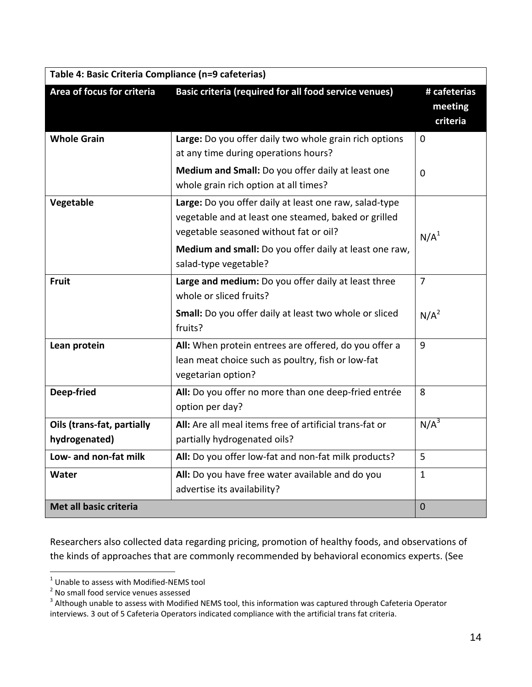| Table 4: Basic Criteria Compliance (n=9 cafeterias) |                                                                                                                                                                                                                                             |                                     |  |
|-----------------------------------------------------|---------------------------------------------------------------------------------------------------------------------------------------------------------------------------------------------------------------------------------------------|-------------------------------------|--|
| Area of focus for criteria                          | Basic criteria (required for all food service venues)                                                                                                                                                                                       | # cafeterias<br>meeting<br>criteria |  |
| <b>Whole Grain</b>                                  | Large: Do you offer daily two whole grain rich options<br>at any time during operations hours?                                                                                                                                              | $\mathbf 0$                         |  |
|                                                     | Medium and Small: Do you offer daily at least one<br>whole grain rich option at all times?                                                                                                                                                  | $\Omega$                            |  |
| Vegetable                                           | Large: Do you offer daily at least one raw, salad-type<br>vegetable and at least one steamed, baked or grilled<br>vegetable seasoned without fat or oil?<br>Medium and small: Do you offer daily at least one raw,<br>salad-type vegetable? | N/A <sup>1</sup>                    |  |
| <b>Fruit</b>                                        | Large and medium: Do you offer daily at least three<br>whole or sliced fruits?                                                                                                                                                              | $\overline{7}$                      |  |
|                                                     | Small: Do you offer daily at least two whole or sliced<br>fruits?                                                                                                                                                                           | $N/A^2$                             |  |
| Lean protein                                        | All: When protein entrees are offered, do you offer a<br>lean meat choice such as poultry, fish or low-fat<br>vegetarian option?                                                                                                            | 9                                   |  |
| Deep-fried                                          | All: Do you offer no more than one deep-fried entrée<br>option per day?                                                                                                                                                                     | 8                                   |  |
| Oils (trans-fat, partially<br>hydrogenated)         | All: Are all meal items free of artificial trans-fat or<br>partially hydrogenated oils?                                                                                                                                                     | $N/A^3$                             |  |
| Low- and non-fat milk                               | All: Do you offer low-fat and non-fat milk products?                                                                                                                                                                                        | 5                                   |  |
| Water                                               | All: Do you have free water available and do you<br>advertise its availability?                                                                                                                                                             | $\mathbf{1}$                        |  |
| Met all basic criteria                              |                                                                                                                                                                                                                                             | $\mathbf 0$                         |  |

Researchers also collected data regarding pricing, promotion of healthy foods, and observations of the kinds of approaches that are commonly recommended by behavioral economics experts. (See

<sup>&</sup>lt;sup>1</sup> Unable to assess with Modified-NEMS tool  $^2$  No small food service venues assessed

<sup>&</sup>lt;sup>3</sup> Although unable to assess with Modified NEMS tool, this information was captured through Cafeteria Operator interviews. 3 out of 5 Cafeteria Operators indicated compliance with the artificial trans fat criteria.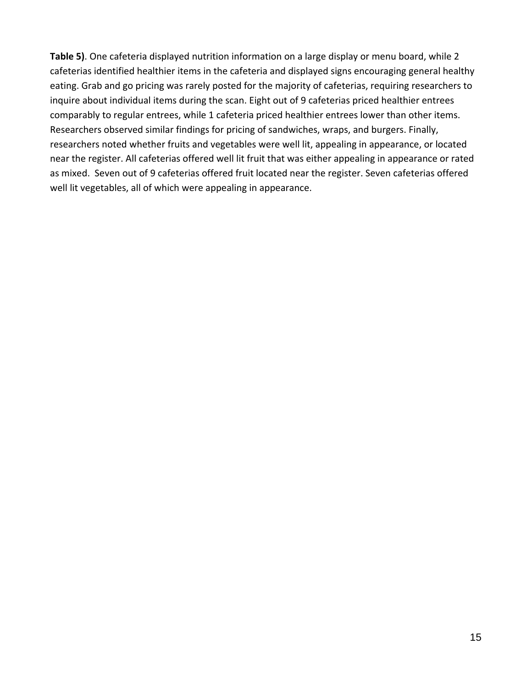**Table 5)**. One cafeteria displayed nutrition information on a large display or menu board, while 2 cafeterias identified healthier items in the cafeteria and displayed signs encouraging general healthy eating. Grab and go pricing was rarely posted for the majority of cafeterias, requiring researchers to inquire about individual items during the scan. Eight out of 9 cafeterias priced healthier entrees comparably to regular entrees, while 1 cafeteria priced healthier entrees lower than other items. Researchers observed similar findings for pricing of sandwiches, wraps, and burgers. Finally, researchers noted whether fruits and vegetables were well lit, appealing in appearance, or located near the register. All cafeterias offered well lit fruit that was either appealing in appearance or rated as mixed. Seven out of 9 cafeterias offered fruit located near the register. Seven cafeterias offered well lit vegetables, all of which were appealing in appearance.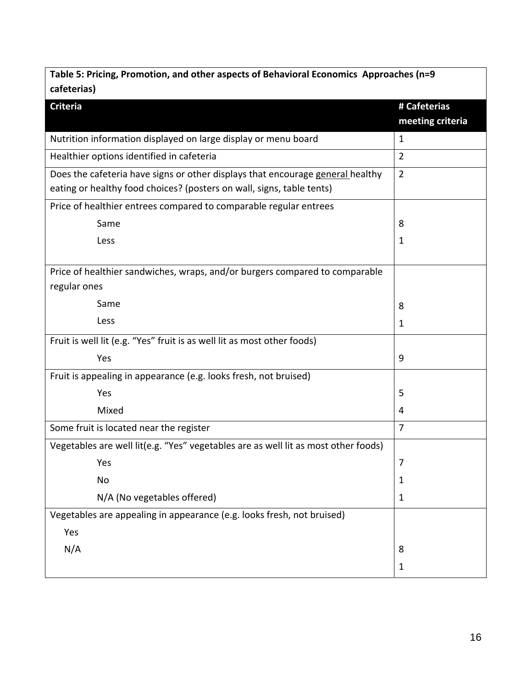| Table 5: Pricing, Promotion, and other aspects of Behavioral Economics Approaches (n=9 |                  |  |  |
|----------------------------------------------------------------------------------------|------------------|--|--|
| cafeterias)                                                                            |                  |  |  |
| <b>Criteria</b>                                                                        | # Cafeterias     |  |  |
|                                                                                        | meeting criteria |  |  |
| Nutrition information displayed on large display or menu board                         | $\mathbf{1}$     |  |  |
| Healthier options identified in cafeteria                                              | $\overline{2}$   |  |  |
| Does the cafeteria have signs or other displays that encourage general healthy         | $\overline{2}$   |  |  |
| eating or healthy food choices? (posters on wall, signs, table tents)                  |                  |  |  |
| Price of healthier entrees compared to comparable regular entrees                      |                  |  |  |
| Same                                                                                   | 8                |  |  |
| Less                                                                                   | $\mathbf{1}$     |  |  |
|                                                                                        |                  |  |  |
| Price of healthier sandwiches, wraps, and/or burgers compared to comparable            |                  |  |  |
| regular ones                                                                           |                  |  |  |
| Same                                                                                   | 8                |  |  |
| Less                                                                                   | $\mathbf{1}$     |  |  |
| Fruit is well lit (e.g. "Yes" fruit is as well lit as most other foods)                |                  |  |  |
| Yes                                                                                    | 9                |  |  |
| Fruit is appealing in appearance (e.g. looks fresh, not bruised)                       |                  |  |  |
| Yes                                                                                    | 5                |  |  |
| Mixed                                                                                  | 4                |  |  |
| Some fruit is located near the register                                                | $\overline{7}$   |  |  |
| Vegetables are well lit(e.g. "Yes" vegetables are as well lit as most other foods)     |                  |  |  |
| Yes                                                                                    | 7                |  |  |
| <b>No</b>                                                                              | $\mathbf{1}$     |  |  |
| N/A (No vegetables offered)                                                            | $\mathbf{1}$     |  |  |
| Vegetables are appealing in appearance (e.g. looks fresh, not bruised)                 |                  |  |  |
| Yes                                                                                    |                  |  |  |
| N/A                                                                                    | 8                |  |  |
|                                                                                        | $\mathbf{1}$     |  |  |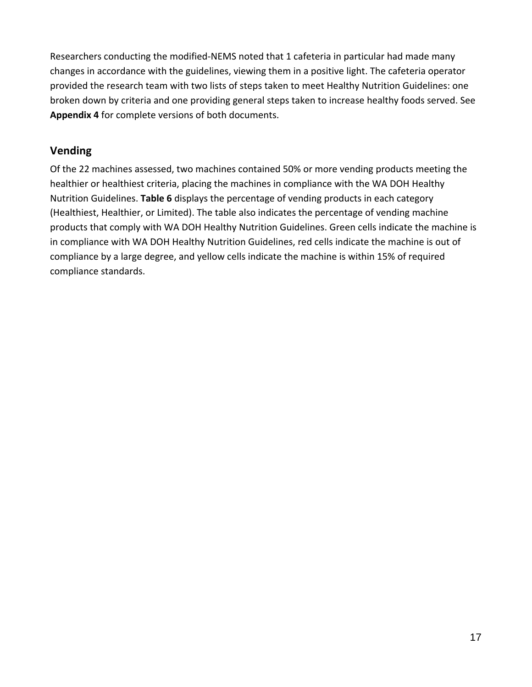Researchers conducting the modified‐NEMS noted that 1 cafeteria in particular had made many changes in accordance with the guidelines, viewing them in a positive light. The cafeteria operator provided the research team with two lists of steps taken to meet Healthy Nutrition Guidelines: one broken down by criteria and one providing general steps taken to increase healthy foods served. See **Appendix 4** for complete versions of both documents.

## **Vending**

Of the 22 machines assessed, two machines contained 50% or more vending products meeting the healthier or healthiest criteria, placing the machines in compliance with the WA DOH Healthy Nutrition Guidelines. **Table 6** displays the percentage of vending products in each category (Healthiest, Healthier, or Limited). The table also indicates the percentage of vending machine products that comply with WA DOH Healthy Nutrition Guidelines. Green cells indicate the machine is in compliance with WA DOH Healthy Nutrition Guidelines, red cells indicate the machine is out of compliance by a large degree, and yellow cells indicate the machine is within 15% of required compliance standards.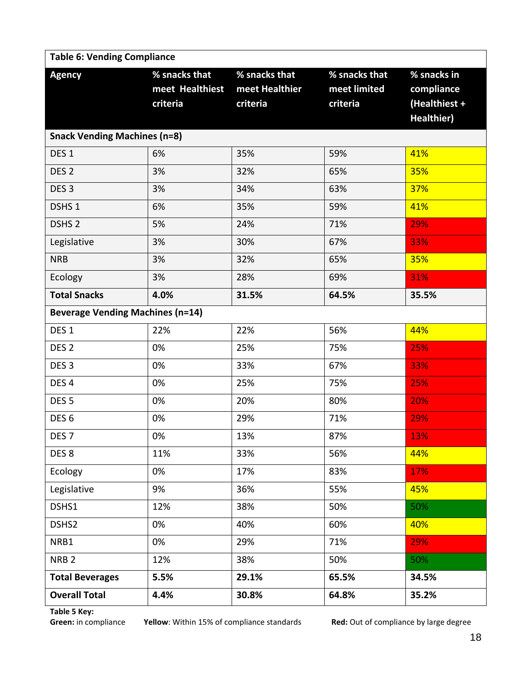| <b>Table 6: Vending Compliance</b>      |                                              |                                             |                                           |                                                                 |
|-----------------------------------------|----------------------------------------------|---------------------------------------------|-------------------------------------------|-----------------------------------------------------------------|
| <b>Agency</b>                           | % snacks that<br>meet Healthiest<br>criteria | % snacks that<br>meet Healthier<br>criteria | % snacks that<br>meet limited<br>criteria | % snacks in<br>compliance<br>(Healthiest +<br><b>Healthier)</b> |
| <b>Snack Vending Machines (n=8)</b>     |                                              |                                             |                                           |                                                                 |
| DES <sub>1</sub>                        | 6%                                           | 35%                                         | 59%                                       | 41%                                                             |
| DES <sub>2</sub>                        | 3%                                           | 32%                                         | 65%                                       | 35%                                                             |
| DES <sub>3</sub>                        | 3%                                           | 34%                                         | 63%                                       | 37%                                                             |
| DSHS <sub>1</sub>                       | 6%                                           | 35%                                         | 59%                                       | 41%                                                             |
| DSHS <sub>2</sub>                       | 5%                                           | 24%                                         | 71%                                       | 29%                                                             |
| Legislative                             | 3%                                           | 30%                                         | 67%                                       | 33%                                                             |
| <b>NRB</b>                              | 3%                                           | 32%                                         | 65%                                       | 35%                                                             |
| Ecology                                 | 3%                                           | 28%                                         | 69%                                       | 31%                                                             |
| <b>Total Snacks</b>                     | 4.0%                                         | 31.5%                                       | 64.5%                                     | 35.5%                                                           |
| <b>Beverage Vending Machines (n=14)</b> |                                              |                                             |                                           |                                                                 |
| DES <sub>1</sub>                        | 22%                                          | 22%                                         | 56%                                       | 44%                                                             |
| DES <sub>2</sub>                        | 0%                                           | 25%                                         | 75%                                       | 25%                                                             |
| DES <sub>3</sub>                        | 0%                                           | 33%                                         | 67%                                       | 33%                                                             |
| DES <sub>4</sub>                        | 0%                                           | 25%                                         | 75%                                       | 25%                                                             |
| DES <sub>5</sub>                        | 0%                                           | 20%                                         | 80%                                       | 20%                                                             |
| DES <sub>6</sub>                        | 0%                                           | 29%                                         | 71%                                       | 29%                                                             |
| DES <sub>7</sub>                        | $0\%$                                        | 13%                                         | 87%                                       | 13%                                                             |
| DES <sub>8</sub>                        | 11%                                          | 33%                                         | 56%                                       | 44%                                                             |
| Ecology                                 | 0%                                           | 17%                                         | 83%                                       | 17%                                                             |
| Legislative                             | 9%                                           | 36%                                         | 55%                                       | 45%                                                             |
| DSHS1                                   | 12%                                          | 38%                                         | 50%                                       | 50%                                                             |
| DSHS2                                   | 0%                                           | 40%                                         | 60%                                       | 40%                                                             |
| NRB1                                    | 0%                                           | 29%                                         | 71%                                       | 29%                                                             |
| NRB <sub>2</sub>                        | 12%                                          | 38%                                         | 50%                                       | 50%                                                             |
| <b>Total Beverages</b>                  | 5.5%                                         | 29.1%                                       | 65.5%                                     | 34.5%                                                           |
| <b>Overall Total</b>                    | 4.4%                                         | 30.8%                                       | 64.8%                                     | 35.2%                                                           |

**Table 5 Key:**

Yellow: Within 15% of compliance standards **Red:** Out of compliance by large degree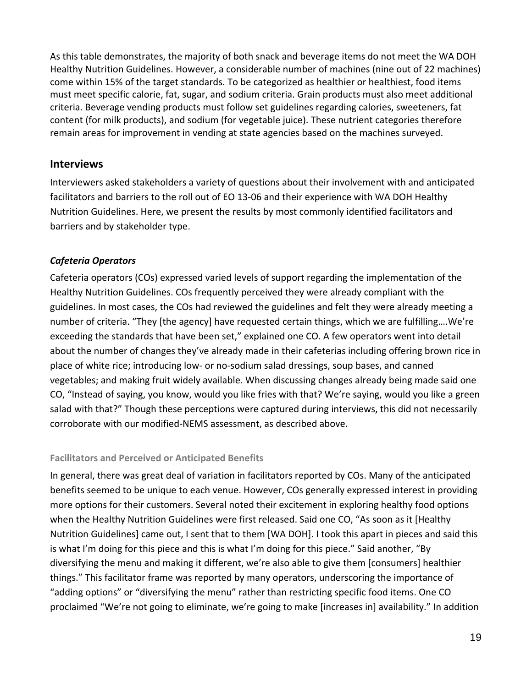As this table demonstrates, the majority of both snack and beverage items do not meet the WA DOH Healthy Nutrition Guidelines. However, a considerable number of machines (nine out of 22 machines) come within 15% of the target standards. To be categorized as healthier or healthiest, food items must meet specific calorie, fat, sugar, and sodium criteria. Grain products must also meet additional criteria. Beverage vending products must follow set guidelines regarding calories, sweeteners, fat content (for milk products), and sodium (for vegetable juice). These nutrient categories therefore remain areas for improvement in vending at state agencies based on the machines surveyed.

#### **Interviews**

Interviewers asked stakeholders a variety of questions about their involvement with and anticipated facilitators and barriers to the roll out of EO 13‐06 and their experience with WA DOH Healthy Nutrition Guidelines. Here, we present the results by most commonly identified facilitators and barriers and by stakeholder type.

#### *Cafeteria Operators*

Cafeteria operators (COs) expressed varied levels of support regarding the implementation of the Healthy Nutrition Guidelines. COs frequently perceived they were already compliant with the guidelines. In most cases, the COs had reviewed the guidelines and felt they were already meeting a number of criteria. "They [the agency] have requested certain things, which we are fulfilling….We're exceeding the standards that have been set," explained one CO. A few operators went into detail about the number of changes they've already made in their cafeterias including offering brown rice in place of white rice; introducing low‐ or no‐sodium salad dressings, soup bases, and canned vegetables; and making fruit widely available. When discussing changes already being made said one CO, "Instead of saying, you know, would you like fries with that? We're saying, would you like a green salad with that?" Though these perceptions were captured during interviews, this did not necessarily corroborate with our modified‐NEMS assessment, as described above.

#### **Facilitators and Perceived or Anticipated Benefits**

In general, there was great deal of variation in facilitators reported by COs. Many of the anticipated benefits seemed to be unique to each venue. However, COs generally expressed interest in providing more options for their customers. Several noted their excitement in exploring healthy food options when the Healthy Nutrition Guidelines were first released. Said one CO, "As soon as it [Healthy Nutrition Guidelines] came out, I sent that to them [WA DOH]. I took this apart in pieces and said this is what I'm doing for this piece and this is what I'm doing for this piece." Said another, "By diversifying the menu and making it different, we're also able to give them [consumers] healthier things." This facilitator frame was reported by many operators, underscoring the importance of "adding options" or "diversifying the menu" rather than restricting specific food items. One CO proclaimed "We're not going to eliminate, we're going to make [increases in] availability." In addition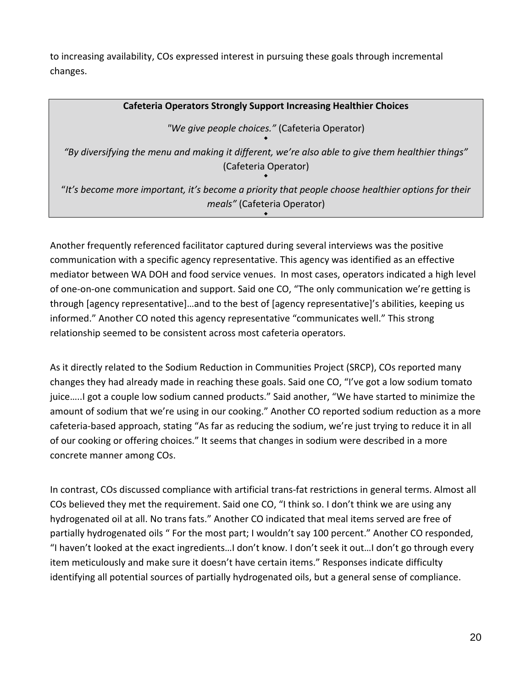to increasing availability, COs expressed interest in pursuing these goals through incremental changes.

| <b>Cafeteria Operators Strongly Support Increasing Healthier Choices</b>                                                  |
|---------------------------------------------------------------------------------------------------------------------------|
| "We give people choices." (Cafeteria Operator)                                                                            |
| "By diversifying the menu and making it different, we're also able to give them healthier things"<br>(Cafeteria Operator) |
| "It's become more important, it's become a priority that people choose healthier options for their                        |
| meals" (Cafeteria Operator)                                                                                               |

٠

Another frequently referenced facilitator captured during several interviews was the positive communication with a specific agency representative. This agency was identified as an effective mediator between WA DOH and food service venues. In most cases, operators indicated a high level of one‐on‐one communication and support. Said one CO, "The only communication we're getting is through [agency representative]…and to the best of [agency representative]'s abilities, keeping us informed." Another CO noted this agency representative "communicates well." This strong relationship seemed to be consistent across most cafeteria operators.

As it directly related to the Sodium Reduction in Communities Project (SRCP), COs reported many changes they had already made in reaching these goals. Said one CO, "I've got a low sodium tomato juice…..I got a couple low sodium canned products." Said another, "We have started to minimize the amount of sodium that we're using in our cooking." Another CO reported sodium reduction as a more cafeteria‐based approach, stating "As far as reducing the sodium, we're just trying to reduce it in all of our cooking or offering choices." It seems that changes in sodium were described in a more concrete manner among COs.

In contrast, COs discussed compliance with artificial trans‐fat restrictions in general terms. Almost all COs believed they met the requirement. Said one CO, "I think so. I don't think we are using any hydrogenated oil at all. No trans fats." Another CO indicated that meal items served are free of partially hydrogenated oils " For the most part; I wouldn't say 100 percent." Another CO responded, "I haven't looked at the exact ingredients…I don't know. I don't seek it out…I don't go through every item meticulously and make sure it doesn't have certain items." Responses indicate difficulty identifying all potential sources of partially hydrogenated oils, but a general sense of compliance.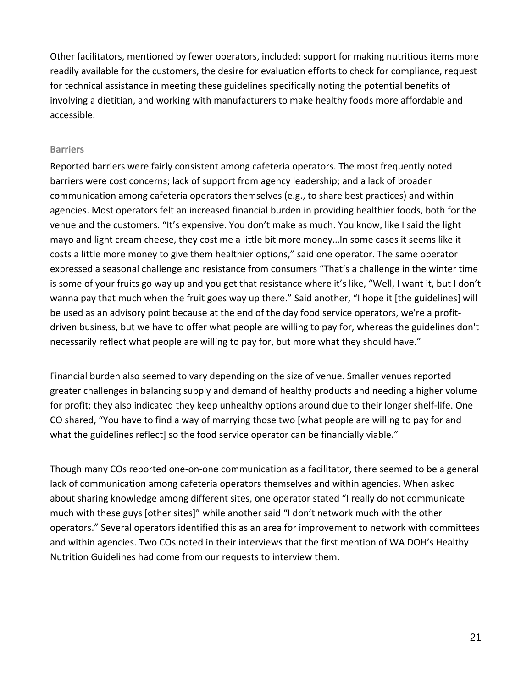Other facilitators, mentioned by fewer operators, included: support for making nutritious items more readily available for the customers, the desire for evaluation efforts to check for compliance, request for technical assistance in meeting these guidelines specifically noting the potential benefits of involving a dietitian, and working with manufacturers to make healthy foods more affordable and accessible.

#### **Barriers**

Reported barriers were fairly consistent among cafeteria operators. The most frequently noted barriers were cost concerns; lack of support from agency leadership; and a lack of broader communication among cafeteria operators themselves (e.g., to share best practices) and within agencies. Most operators felt an increased financial burden in providing healthier foods, both for the venue and the customers. "It's expensive. You don't make as much. You know, like I said the light mayo and light cream cheese, they cost me a little bit more money…In some cases it seems like it costs a little more money to give them healthier options," said one operator. The same operator expressed a seasonal challenge and resistance from consumers "That's a challenge in the winter time is some of your fruits go way up and you get that resistance where it's like, "Well, I want it, but I don't wanna pay that much when the fruit goes way up there." Said another, "I hope it [the guidelines] will be used as an advisory point because at the end of the day food service operators, we're a profitdriven business, but we have to offer what people are willing to pay for, whereas the guidelines don't necessarily reflect what people are willing to pay for, but more what they should have."

Financial burden also seemed to vary depending on the size of venue. Smaller venues reported greater challenges in balancing supply and demand of healthy products and needing a higher volume for profit; they also indicated they keep unhealthy options around due to their longer shelf‐life. One CO shared, "You have to find a way of marrying those two [what people are willing to pay for and what the guidelines reflect] so the food service operator can be financially viable."

Though many COs reported one‐on‐one communication as a facilitator, there seemed to be a general lack of communication among cafeteria operators themselves and within agencies. When asked about sharing knowledge among different sites, one operator stated "I really do not communicate much with these guys [other sites]" while another said "I don't network much with the other operators." Several operators identified this as an area for improvement to network with committees and within agencies. Two COs noted in their interviews that the first mention of WA DOH's Healthy Nutrition Guidelines had come from our requests to interview them.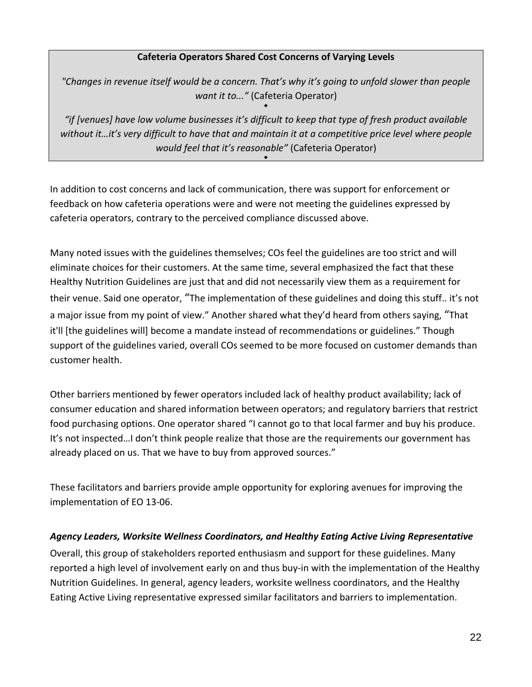#### **Cafeteria Operators Shared Cost Concerns of Varying Levels**

*"Changes in revenue itself would be a concern. That's why it's going to unfold slower than people want it to..."* (Cafeteria Operator) ٠

*"if [venues] have low volume businesses it's difficult to keep that type of fresh product available without it…it's very difficult to have that and maintain it at a competitive price level where people would feel that it's reasonable"* (Cafeteria Operator)

٠

In addition to cost concerns and lack of communication, there was support for enforcement or feedback on how cafeteria operations were and were not meeting the guidelines expressed by cafeteria operators, contrary to the perceived compliance discussed above.

Many noted issues with the guidelines themselves; COs feel the guidelines are too strict and will eliminate choices for their customers. At the same time, several emphasized the fact that these Healthy Nutrition Guidelines are just that and did not necessarily view them as a requirement for their venue. Said one operator, "The implementation of these guidelines and doing this stuff.. it's not a major issue from my point of view." Another shared what they'd heard from others saying, "That it'll [the guidelines will] become a mandate instead of recommendations or guidelines." Though support of the guidelines varied, overall COs seemed to be more focused on customer demands than customer health.

Other barriers mentioned by fewer operators included lack of healthy product availability; lack of consumer education and shared information between operators; and regulatory barriers that restrict food purchasing options. One operator shared "I cannot go to that local farmer and buy his produce. It's not inspected…I don't think people realize that those are the requirements our government has already placed on us. That we have to buy from approved sources."

These facilitators and barriers provide ample opportunity for exploring avenues for improving the implementation of EO 13‐06.

#### *Agency Leaders, Worksite Wellness Coordinators, and Healthy Eating Active Living Representative*

Overall, this group of stakeholders reported enthusiasm and support for these guidelines. Many reported a high level of involvement early on and thus buy-in with the implementation of the Healthy Nutrition Guidelines. In general, agency leaders, worksite wellness coordinators, and the Healthy Eating Active Living representative expressed similar facilitators and barriers to implementation.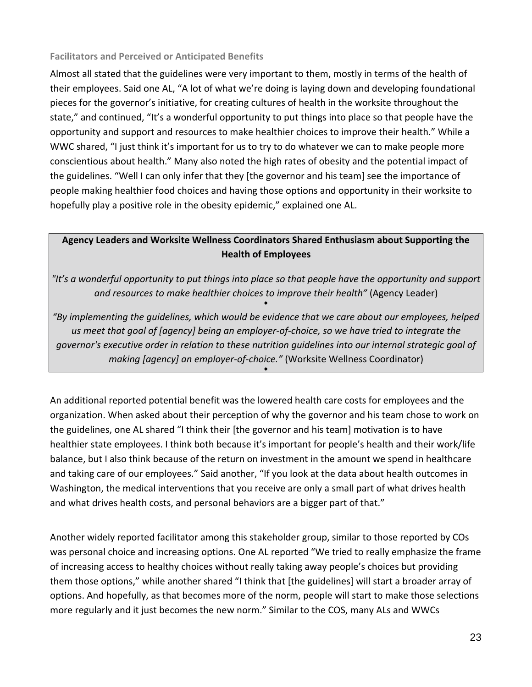#### **Facilitators and Perceived or Anticipated Benefits**

Almost all stated that the guidelines were very important to them, mostly in terms of the health of their employees. Said one AL, "A lot of what we're doing is laying down and developing foundational pieces for the governor's initiative, for creating cultures of health in the worksite throughout the state," and continued, "It's a wonderful opportunity to put things into place so that people have the opportunity and support and resources to make healthier choices to improve their health." While a WWC shared, "I just think it's important for us to try to do whatever we can to make people more conscientious about health." Many also noted the high rates of obesity and the potential impact of the guidelines. "Well I can only infer that they [the governor and his team] see the importance of people making healthier food choices and having those options and opportunity in their worksite to hopefully play a positive role in the obesity epidemic," explained one AL.

## **Agency Leaders and Worksite Wellness Coordinators Shared Enthusiasm about Supporting the Health of Employees**

*"It's a wonderful opportunity to put things into place so that people have the opportunity and support and resources to make healthier choices to improve their health"* (Agency Leader)

٠

*"By implementing the guidelines, which would be evidence that we care about our employees, helped* us meet that goal of [agency] being an employer-of-choice, so we have tried to integrate the *governor's executive order in relation to these nutrition guidelines into our internal strategic goal of making [agency] an employer‐of‐choice."* (Worksite Wellness Coordinator)

٠

An additional reported potential benefit was the lowered health care costs for employees and the organization. When asked about their perception of why the governor and his team chose to work on the guidelines, one AL shared "I think their [the governor and his team] motivation is to have healthier state employees. I think both because it's important for people's health and their work/life balance, but I also think because of the return on investment in the amount we spend in healthcare and taking care of our employees." Said another, "If you look at the data about health outcomes in Washington, the medical interventions that you receive are only a small part of what drives health and what drives health costs, and personal behaviors are a bigger part of that."

Another widely reported facilitator among this stakeholder group, similar to those reported by COs was personal choice and increasing options. One AL reported "We tried to really emphasize the frame of increasing access to healthy choices without really taking away people's choices but providing them those options," while another shared "I think that [the guidelines] will start a broader array of options. And hopefully, as that becomes more of the norm, people will start to make those selections more regularly and it just becomes the new norm." Similar to the COS, many ALs and WWCs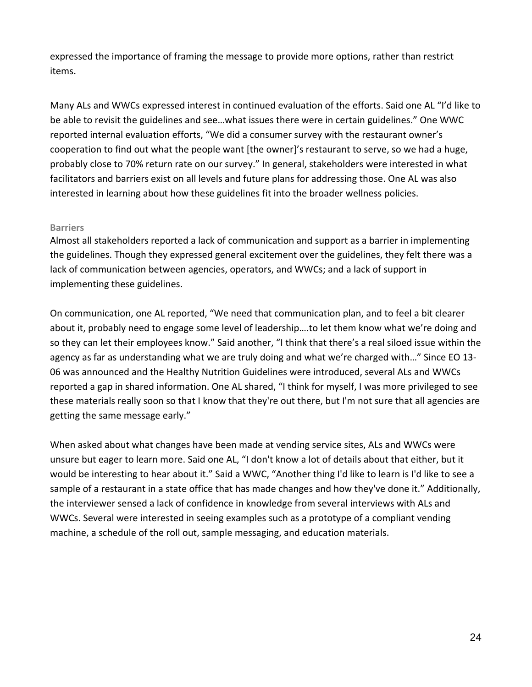expressed the importance of framing the message to provide more options, rather than restrict items.

Many ALs and WWCs expressed interest in continued evaluation of the efforts. Said one AL "I'd like to be able to revisit the guidelines and see…what issues there were in certain guidelines." One WWC reported internal evaluation efforts, "We did a consumer survey with the restaurant owner's cooperation to find out what the people want [the owner]'s restaurant to serve, so we had a huge, probably close to 70% return rate on our survey." In general, stakeholders were interested in what facilitators and barriers exist on all levels and future plans for addressing those. One AL was also interested in learning about how these guidelines fit into the broader wellness policies.

#### **Barriers**

Almost all stakeholders reported a lack of communication and support as a barrier in implementing the guidelines. Though they expressed general excitement over the guidelines, they felt there was a lack of communication between agencies, operators, and WWCs; and a lack of support in implementing these guidelines.

On communication, one AL reported, "We need that communication plan, and to feel a bit clearer about it, probably need to engage some level of leadership….to let them know what we're doing and so they can let their employees know." Said another, "I think that there's a real siloed issue within the agency as far as understanding what we are truly doing and what we're charged with…" Since EO 13‐ 06 was announced and the Healthy Nutrition Guidelines were introduced, several ALs and WWCs reported a gap in shared information. One AL shared, "I think for myself, I was more privileged to see these materials really soon so that I know that they're out there, but I'm not sure that all agencies are getting the same message early."

When asked about what changes have been made at vending service sites, ALs and WWCs were unsure but eager to learn more. Said one AL, "I don't know a lot of details about that either, but it would be interesting to hear about it." Said a WWC, "Another thing I'd like to learn is I'd like to see a sample of a restaurant in a state office that has made changes and how they've done it." Additionally, the interviewer sensed a lack of confidence in knowledge from several interviews with ALs and WWCs. Several were interested in seeing examples such as a prototype of a compliant vending machine, a schedule of the roll out, sample messaging, and education materials.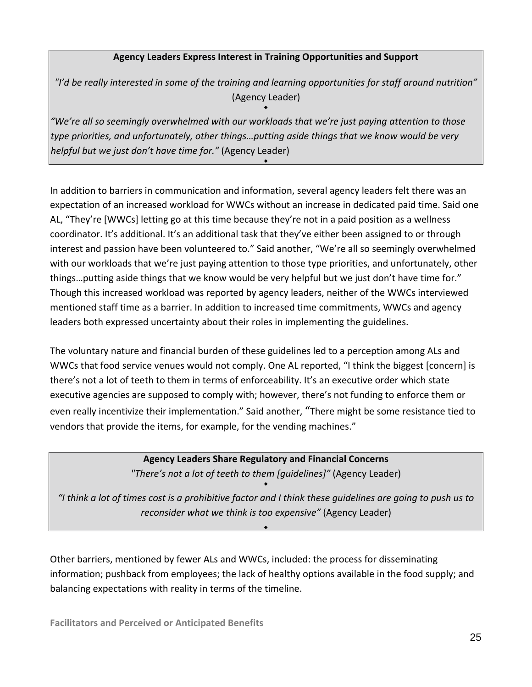#### **Agency Leaders Express Interest in Training Opportunities and Support**

*"I'd be really interested in some of the training and learning opportunities for staff around nutrition"* (Agency Leader)

٠

٠

*"We're all so seemingly overwhelmed with our workloads that we're just paying attention to those type priorities, and unfortunately, other things…putting aside things that we know would be very helpful but we just don't have time for."* (Agency Leader)

In addition to barriers in communication and information, several agency leaders felt there was an expectation of an increased workload for WWCs without an increase in dedicated paid time. Said one AL, "They're [WWCs] letting go at this time because they're not in a paid position as a wellness coordinator. It's additional. It's an additional task that they've either been assigned to or through interest and passion have been volunteered to." Said another, "We're all so seemingly overwhelmed with our workloads that we're just paying attention to those type priorities, and unfortunately, other things…putting aside things that we know would be very helpful but we just don't have time for." Though this increased workload was reported by agency leaders, neither of the WWCs interviewed mentioned staff time as a barrier. In addition to increased time commitments, WWCs and agency leaders both expressed uncertainty about their roles in implementing the guidelines.

The voluntary nature and financial burden of these guidelines led to a perception among ALs and WWCs that food service venues would not comply. One AL reported, "I think the biggest [concern] is there's not a lot of teeth to them in terms of enforceability. It's an executive order which state executive agencies are supposed to comply with; however, there's not funding to enforce them or even really incentivize their implementation." Said another, "There might be some resistance tied to vendors that provide the items, for example, for the vending machines."

# **Agency Leaders Share Regulatory and Financial Concerns**

*"There's not a lot of teeth to them [guidelines]"* (Agency Leader) ٠

I think a lot of times cost is a prohibitive factor and I think these guidelines are going to push us to " *reconsider what we think is too expensive"* (Agency Leader)

٠

Other barriers, mentioned by fewer ALs and WWCs, included: the process for disseminating information; pushback from employees; the lack of healthy options available in the food supply; and balancing expectations with reality in terms of the timeline.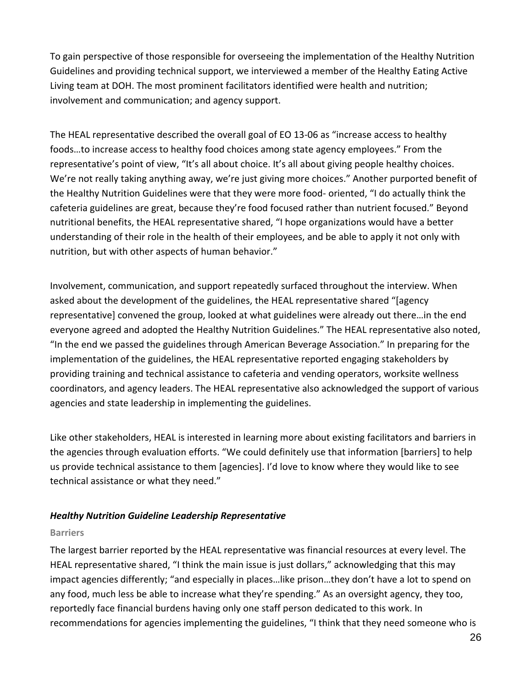To gain perspective of those responsible for overseeing the implementation of the Healthy Nutrition Guidelines and providing technical support, we interviewed a member of the Healthy Eating Active Living team at DOH. The most prominent facilitators identified were health and nutrition; involvement and communication; and agency support.

The HEAL representative described the overall goal of EO 13‐06 as "increase access to healthy foods…to increase access to healthy food choices among state agency employees." From the representative's point of view, "It's all about choice. It's all about giving people healthy choices. We're not really taking anything away, we're just giving more choices." Another purported benefit of the Healthy Nutrition Guidelines were that they were more food‐ oriented, "I do actually think the cafeteria guidelines are great, because they're food focused rather than nutrient focused." Beyond nutritional benefits, the HEAL representative shared, "I hope organizations would have a better understanding of their role in the health of their employees, and be able to apply it not only with nutrition, but with other aspects of human behavior."

Involvement, communication, and support repeatedly surfaced throughout the interview. When asked about the development of the guidelines, the HEAL representative shared "[agency representative] convened the group, looked at what guidelines were already out there…in the end everyone agreed and adopted the Healthy Nutrition Guidelines." The HEAL representative also noted, "In the end we passed the guidelines through American Beverage Association." In preparing for the implementation of the guidelines, the HEAL representative reported engaging stakeholders by providing training and technical assistance to cafeteria and vending operators, worksite wellness coordinators, and agency leaders. The HEAL representative also acknowledged the support of various agencies and state leadership in implementing the guidelines.

Like other stakeholders, HEAL is interested in learning more about existing facilitators and barriers in the agencies through evaluation efforts. "We could definitely use that information [barriers] to help us provide technical assistance to them [agencies]. I'd love to know where they would like to see technical assistance or what they need."

#### *Healthy Nutrition Guideline Leadership Representative*

#### **Barriers**

The largest barrier reported by the HEAL representative was financial resources at every level. The HEAL representative shared, "I think the main issue is just dollars," acknowledging that this may impact agencies differently; "and especially in places…like prison…they don't have a lot to spend on any food, much less be able to increase what they're spending." As an oversight agency, they too, reportedly face financial burdens having only one staff person dedicated to this work. In recommendations for agencies implementing the guidelines, "I think that they need someone who is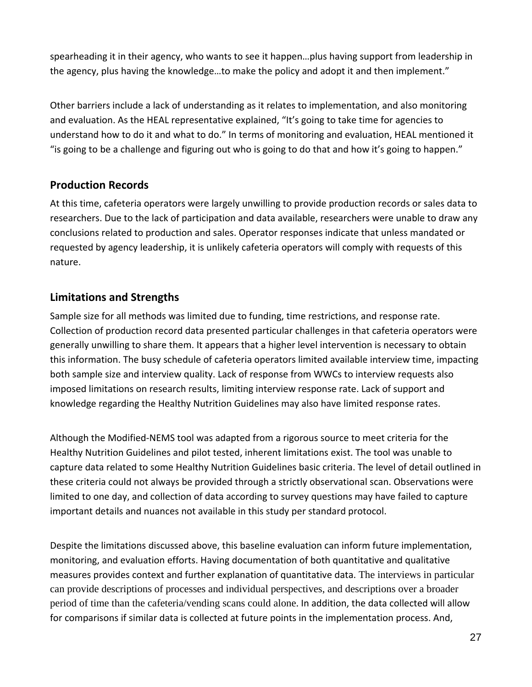spearheading it in their agency, who wants to see it happen…plus having support from leadership in the agency, plus having the knowledge…to make the policy and adopt it and then implement."

Other barriers include a lack of understanding as it relates to implementation, and also monitoring and evaluation. As the HEAL representative explained, "It's going to take time for agencies to understand how to do it and what to do." In terms of monitoring and evaluation, HEAL mentioned it "is going to be a challenge and figuring out who is going to do that and how it's going to happen."

## **Production Records**

At this time, cafeteria operators were largely unwilling to provide production records or sales data to researchers. Due to the lack of participation and data available, researchers were unable to draw any conclusions related to production and sales. Operator responses indicate that unless mandated or requested by agency leadership, it is unlikely cafeteria operators will comply with requests of this nature.

## **Limitations and Strengths**

Sample size for all methods was limited due to funding, time restrictions, and response rate. Collection of production record data presented particular challenges in that cafeteria operators were generally unwilling to share them. It appears that a higher level intervention is necessary to obtain this information. The busy schedule of cafeteria operators limited available interview time, impacting both sample size and interview quality. Lack of response from WWCs to interview requests also imposed limitations on research results, limiting interview response rate. Lack of support and knowledge regarding the Healthy Nutrition Guidelines may also have limited response rates.

Although the Modified‐NEMS tool was adapted from a rigorous source to meet criteria for the Healthy Nutrition Guidelines and pilot tested, inherent limitations exist. The tool was unable to capture data related to some Healthy Nutrition Guidelines basic criteria. The level of detail outlined in these criteria could not always be provided through a strictly observational scan. Observations were limited to one day, and collection of data according to survey questions may have failed to capture important details and nuances not available in this study per standard protocol.

Despite the limitations discussed above, this baseline evaluation can inform future implementation, monitoring, and evaluation efforts. Having documentation of both quantitative and qualitative measures provides context and further explanation of quantitative data. The interviews in particular can provide descriptions of processes and individual perspectives, and descriptions over a broader period of time than the cafeteria/vending scans could alone. In addition, the data collected will allow for comparisons if similar data is collected at future points in the implementation process. And,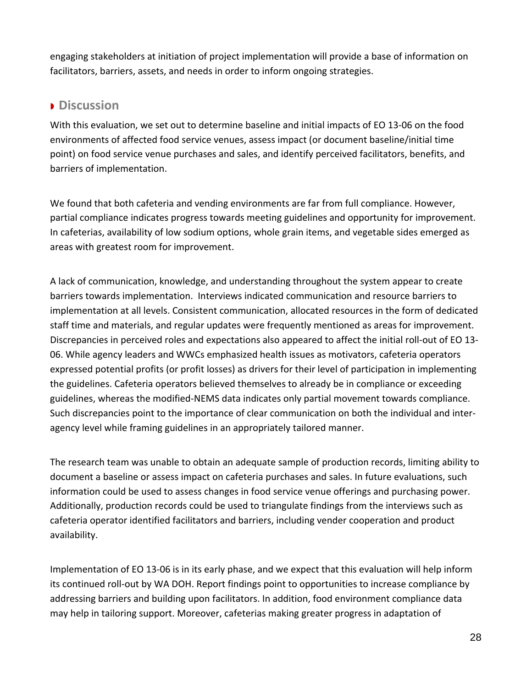engaging stakeholders at initiation of project implementation will provide a base of information on facilitators, barriers, assets, and needs in order to inform ongoing strategies.

## **Discussion**

With this evaluation, we set out to determine baseline and initial impacts of EO 13‐06 on the food environments of affected food service venues, assess impact (or document baseline/initial time point) on food service venue purchases and sales, and identify perceived facilitators, benefits, and barriers of implementation.

We found that both cafeteria and vending environments are far from full compliance. However, partial compliance indicates progress towards meeting guidelines and opportunity for improvement. In cafeterias, availability of low sodium options, whole grain items, and vegetable sides emerged as areas with greatest room for improvement.

A lack of communication, knowledge, and understanding throughout the system appear to create barriers towards implementation. Interviews indicated communication and resource barriers to implementation at all levels. Consistent communication, allocated resources in the form of dedicated staff time and materials, and regular updates were frequently mentioned as areas for improvement. Discrepancies in perceived roles and expectations also appeared to affect the initial roll‐out of EO 13‐ 06. While agency leaders and WWCs emphasized health issues as motivators, cafeteria operators expressed potential profits (or profit losses) as drivers for their level of participation in implementing the guidelines. Cafeteria operators believed themselves to already be in compliance or exceeding guidelines, whereas the modified‐NEMS data indicates only partial movement towards compliance. Such discrepancies point to the importance of clear communication on both the individual and inter‐ agency level while framing guidelines in an appropriately tailored manner.

The research team was unable to obtain an adequate sample of production records, limiting ability to document a baseline or assess impact on cafeteria purchases and sales. In future evaluations, such information could be used to assess changes in food service venue offerings and purchasing power. Additionally, production records could be used to triangulate findings from the interviews such as cafeteria operator identified facilitators and barriers, including vender cooperation and product availability.

Implementation of EO 13‐06 is in its early phase, and we expect that this evaluation will help inform its continued roll‐out by WA DOH. Report findings point to opportunities to increase compliance by addressing barriers and building upon facilitators. In addition, food environment compliance data may help in tailoring support. Moreover, cafeterias making greater progress in adaptation of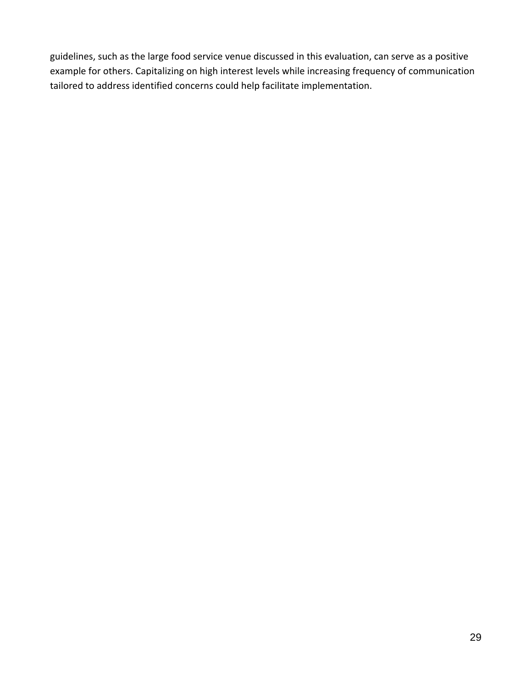guidelines, such as the large food service venue discussed in this evaluation, can serve as a positive example for others. Capitalizing on high interest levels while increasing frequency of communication tailored to address identified concerns could help facilitate implementation.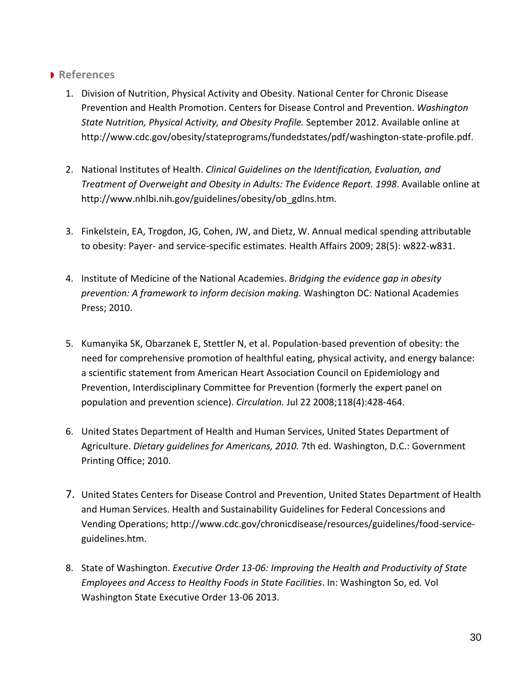## **References**

- 1. Division of Nutrition, Physical Activity and Obesity. National Center for Chronic Disease Prevention and Health Promotion. Centers for Disease Control and Prevention. *Washington State Nutrition, Physical Activity, and Obesity Profile.* September 2012. Available online at http://www.cdc.gov/obesity/stateprograms/fundedstates/pdf/washington‐state‐profile.pdf.
- 2. National Institutes of Health. *Clinical Guidelines on the Identification, Evaluation, and Treatment of Overweight and Obesity in Adults: The Evidence Report. 1998*. Available online at http://www.nhlbi.nih.gov/guidelines/obesity/ob\_gdlns.htm.
- 3. Finkelstein, EA, Trogdon, JG, Cohen, JW, and Dietz, W. Annual medical spending attributable to obesity: Payer‐ and service‐specific estimates. Health Affairs 2009; 28(5): w822‐w831.
- 4. Institute of Medicine of the National Academies. *Bridging the evidence gap in obesity prevention: A framework to inform decision making.* Washington DC: National Academies Press; 2010.
- 5. Kumanyika SK, Obarzanek E, Stettler N, et al. Population-based prevention of obesity: the need for comprehensive promotion of healthful eating, physical activity, and energy balance: a scientific statement from American Heart Association Council on Epidemiology and Prevention, Interdisciplinary Committee for Prevention (formerly the expert panel on population and prevention science). *Circulation.* Jul 22 2008;118(4):428‐464.
- 6. United States Department of Health and Human Services, United States Department of Agriculture. *Dietary guidelines for Americans, 2010.* 7th ed. Washington, D.C.: Government Printing Office; 2010.
- 7. United States Centers for Disease Control and Prevention, United States Department of Health and Human Services. Health and Sustainability Guidelines for Federal Concessions and Vending Operations; http://www.cdc.gov/chronicdisease/resources/guidelines/food‐service‐ guidelines.htm.
- 8. State of Washington. *Executive Order 13‐06: Improving the Health and Productivity of State Employees and Access to Healthy Foods in State Facilities*. In: Washington So, ed*.* Vol Washington State Executive Order 13‐06 2013.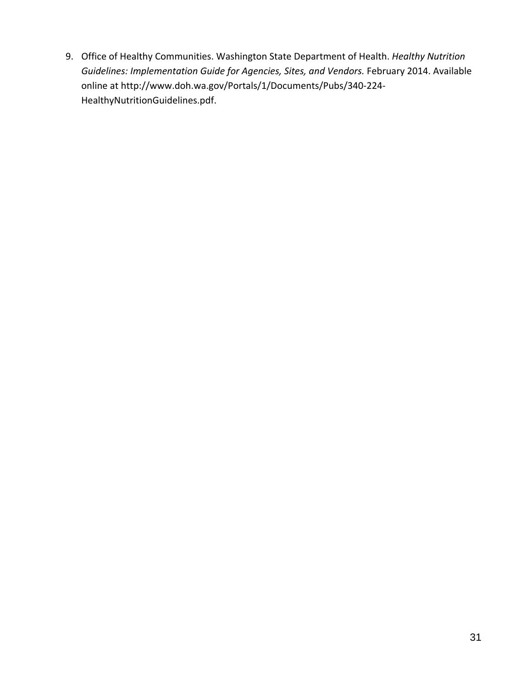9. Office of Healthy Communities. Washington State Department of Health. *Healthy Nutrition Guidelines: Implementation Guide for Agencies, Sites, and Vendors.* February 2014. Available online at http://www.doh.wa.gov/Portals/1/Documents/Pubs/340‐224‐ HealthyNutritionGuidelines.pdf.